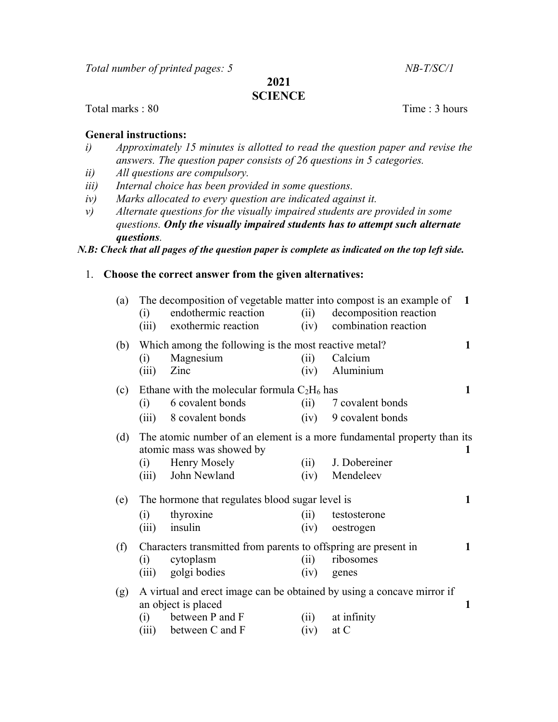Total number of printed pages: 5 NB-T/SC/1

2021

# **SCIENCE**

Total marks : 80 Time : 3 hours

#### General instructions:

- i) Approximately 15 minutes is allotted to read the question paper and revise the answers. The question paper consists of 26 questions in 5 categories.
- ii) All questions are compulsory.
- iii) Internal choice has been provided in some questions.
- iv) Marks allocated to every question are indicated against it.
- v) Alternate questions for the visually impaired students are provided in some questions. Only the visually impaired students has to attempt such alternate questions.

N.B: Check that all pages of the question paper is complete as indicated on the top left side.

# 1. Choose the correct answer from the given alternatives:

| (a) | (i)<br>(iii) | The decomposition of vegetable matter into compost is an example of<br>endothermic reaction<br>exothermic reaction                  | (ii)<br>(iv) | decomposition reaction<br>combination reaction                                                        | 1 |
|-----|--------------|-------------------------------------------------------------------------------------------------------------------------------------|--------------|-------------------------------------------------------------------------------------------------------|---|
| (b) | (i)<br>(iii) | Which among the following is the most reactive metal?<br>Magnesium<br>Zinc                                                          | (ii)<br>(iv) | Calcium<br>Aluminium                                                                                  | 1 |
| (c) | (i)<br>(iii) | Ethane with the molecular formula $C_2H_6$ has<br>6 covalent bonds<br>8 covalent bonds                                              | (ii)<br>(iv) | 7 covalent bonds<br>9 covalent bonds                                                                  | 1 |
| (d) | (i)<br>(iii) | atomic mass was showed by<br><b>Henry Mosely</b><br>John Newland                                                                    | (ii)<br>(iv) | The atomic number of an element is a more fundamental property than its<br>J. Dobereiner<br>Mendeleev | 1 |
| (e) | (i)<br>(iii) | The hormone that regulates blood sugar level is<br>thyroxine<br>insulin                                                             | (ii)<br>(iv) | testosterone<br>oestrogen                                                                             | 1 |
| (f) | (i)<br>(iii) | Characters transmitted from parents to offspring are present in<br>cytoplasm<br>golgi bodies                                        | (ii)<br>(iv) | ribosomes<br>genes                                                                                    | 1 |
| (g) | (i)<br>(iii) | A virtual and erect image can be obtained by using a concave mirror if<br>an object is placed<br>between P and F<br>between C and F | (i)<br>(iv)  | at infinity<br>at $C$                                                                                 | 1 |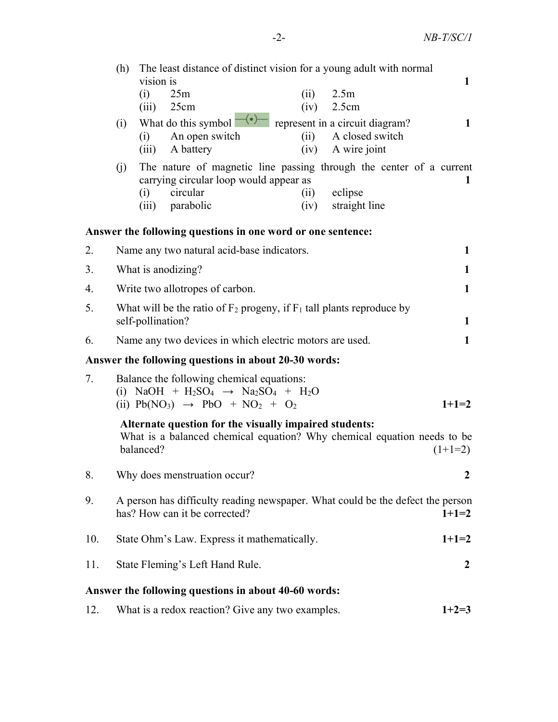|                                                             | The least distance of distinct vision for a young adult with normal<br>(h)                                                                                  |                                                                                                               |              |  |  |  |  |  |
|-------------------------------------------------------------|-------------------------------------------------------------------------------------------------------------------------------------------------------------|---------------------------------------------------------------------------------------------------------------|--------------|--|--|--|--|--|
|                                                             |                                                                                                                                                             | vision is<br>(i)<br>25m<br>2.5m<br>(ii)                                                                       | 1            |  |  |  |  |  |
|                                                             |                                                                                                                                                             | $(iii)$ 25cm<br>(iv)<br>2.5cm                                                                                 |              |  |  |  |  |  |
|                                                             | (i)                                                                                                                                                         | What do this symbol $\overline{-(\cdot)}$<br>represent in a circuit diagram?                                  | 1            |  |  |  |  |  |
|                                                             |                                                                                                                                                             | A closed switch<br>An open switch<br>(ii)<br>(i)                                                              |              |  |  |  |  |  |
|                                                             |                                                                                                                                                             | A battery<br>A wire joint<br>(iii)<br>(iv)                                                                    |              |  |  |  |  |  |
|                                                             | (i)                                                                                                                                                         | The nature of magnetic line passing through the center of a current<br>carrying circular loop would appear as | $\mathbf{1}$ |  |  |  |  |  |
|                                                             |                                                                                                                                                             | circular<br>eclipse<br>(i)<br>(ii)                                                                            |              |  |  |  |  |  |
|                                                             |                                                                                                                                                             | (iii) parabolic<br>straight line<br>(iv)                                                                      |              |  |  |  |  |  |
| Answer the following questions in one word or one sentence: |                                                                                                                                                             |                                                                                                               |              |  |  |  |  |  |
| 2.                                                          | Name any two natural acid-base indicators.<br>1                                                                                                             |                                                                                                               |              |  |  |  |  |  |
| 3.                                                          |                                                                                                                                                             | What is anodizing?                                                                                            | 1            |  |  |  |  |  |
| 4.                                                          | Write two allotropes of carbon.                                                                                                                             |                                                                                                               |              |  |  |  |  |  |
| 5.                                                          | What will be the ratio of $F_2$ progeny, if $F_1$ tall plants reproduce by<br>self-pollination?<br>$\mathbf{1}$                                             |                                                                                                               |              |  |  |  |  |  |
| 6.                                                          |                                                                                                                                                             | Name any two devices in which electric motors are used.                                                       | 1            |  |  |  |  |  |
| Answer the following questions in about 20-30 words:        |                                                                                                                                                             |                                                                                                               |              |  |  |  |  |  |
| 7.                                                          | Balance the following chemical equations:<br>(i) NaOH + H <sub>2</sub> SO <sub>4</sub> $\rightarrow$ Na <sub>2</sub> SO <sub>4</sub> + H <sub>2</sub> O     |                                                                                                               |              |  |  |  |  |  |
|                                                             | (ii) $Pb(NO_3) \rightarrow PbO + NO_2 + O_2$<br>$1+1=2$                                                                                                     |                                                                                                               |              |  |  |  |  |  |
|                                                             | Alternate question for the visually impaired students:<br>What is a balanced chemical equation? Why chemical equation needs to be<br>balanced?<br>$(1+1=2)$ |                                                                                                               |              |  |  |  |  |  |
| 8.                                                          |                                                                                                                                                             | Why does menstruation occur?                                                                                  | 2            |  |  |  |  |  |
| 9.                                                          | has? How can it be corrected?                                                                                                                               | A person has difficulty reading newspaper. What could be the defect the person<br>$1+1=2$                     |              |  |  |  |  |  |
| 10.                                                         |                                                                                                                                                             | State Ohm's Law. Express it mathematically.                                                                   | $1+1=2$      |  |  |  |  |  |
| 11.                                                         | State Fleming's Left Hand Rule.                                                                                                                             |                                                                                                               |              |  |  |  |  |  |
| Answer the following questions in about 40-60 words:        |                                                                                                                                                             |                                                                                                               |              |  |  |  |  |  |

12. What is a redox reaction? Give any two examples.  $1+2=3$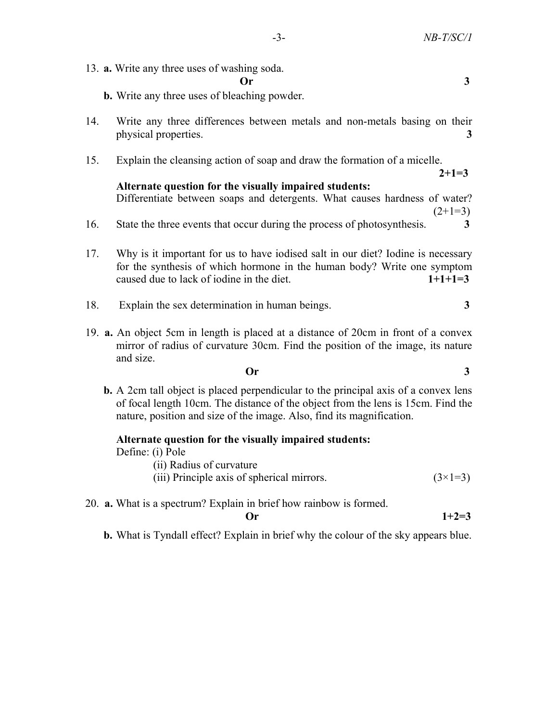13. a. Write any three uses of washing soda.

#### Or 3

- b. Write any three uses of bleaching powder.
- 14. Write any three differences between metals and non-metals basing on their physical properties. 3
- 15. Explain the cleansing action of soap and draw the formation of a micelle.

# Alternate question for the visually impaired students:

Differentiate between soaps and detergents. What causes hardness of water?  $(2+1=3)$ 

 $2+1=3$ 

- 16. State the three events that occur during the process of photosynthesis. 3
- 17. Why is it important for us to have iodised salt in our diet? Iodine is necessary for the synthesis of which hormone in the human body? Write one symptom caused due to lack of iodine in the diet.  $1+1+1=3$
- 18. Explain the sex determination in human beings.  $\frac{3}{3}$
- 19. a. An object 5cm in length is placed at a distance of 20cm in front of a convex mirror of radius of curvature 30cm. Find the position of the image, its nature and size.

### $\overline{Or}$  3

 b. A 2cm tall object is placed perpendicular to the principal axis of a convex lens of focal length 10cm. The distance of the object from the lens is 15cm. Find the nature, position and size of the image. Also, find its magnification.

### Alternate question for the visually impaired students:

Define: (i) Pole

(ii) Radius of curvature

- (iii) Principle axis of spherical mirrors.  $(3\times1=3)$
- 20. a. What is a spectrum? Explain in brief how rainbow is formed.

Or 
$$
1+2=3
$$

b. What is Tyndall effect? Explain in brief why the colour of the sky appears blue.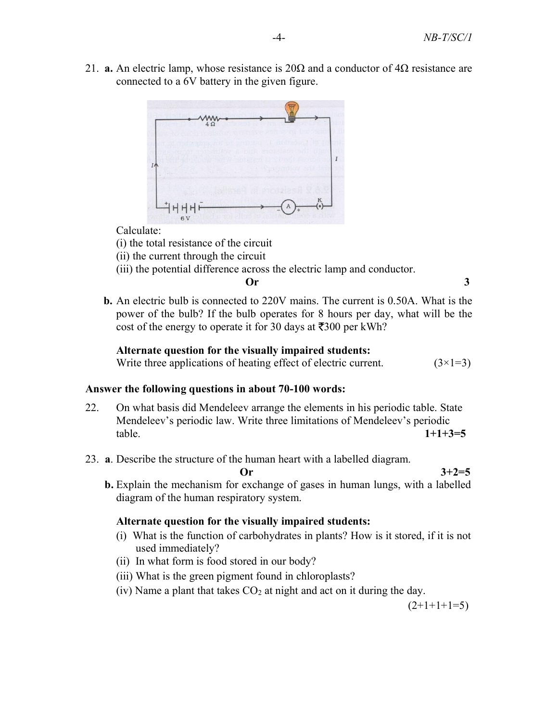21. **a.** An electric lamp, whose resistance is  $20\Omega$  and a conductor of  $4\Omega$  resistance are connected to a 6V battery in the given figure.



Calculate:

(i) the total resistance of the circuit

(ii) the current through the circuit

(iii) the potential difference across the electric lamp and conductor.

 $\overline{Or}$  3

 b. An electric bulb is connected to 220V mains. The current is 0.50A. What is the power of the bulb? If the bulb operates for 8 hours per day, what will be the cost of the energy to operate it for 30 days at  $\overline{5300}$  per kWh?

# Alternate question for the visually impaired students:

Write three applications of heating effect of electric current.  $(3\times1=3)$ 

### Answer the following questions in about 70-100 words:

- 22. On what basis did Mendeleev arrange the elements in his periodic table. State Mendeleev's periodic law. Write three limitations of Mendeleev's periodic  $table.$  1+1+3=5
- 23. a. Describe the structure of the human heart with a labelled diagram.

Or  $3+2=5$  b. Explain the mechanism for exchange of gases in human lungs, with a labelled diagram of the human respiratory system.

### Alternate question for the visually impaired students:

- (i) What is the function of carbohydrates in plants? How is it stored, if it is not used immediately?
- (ii) In what form is food stored in our body?
- (iii) What is the green pigment found in chloroplasts?
- (iv) Name a plant that takes  $CO<sub>2</sub>$  at night and act on it during the day.

 $(2+1+1+1=5)$